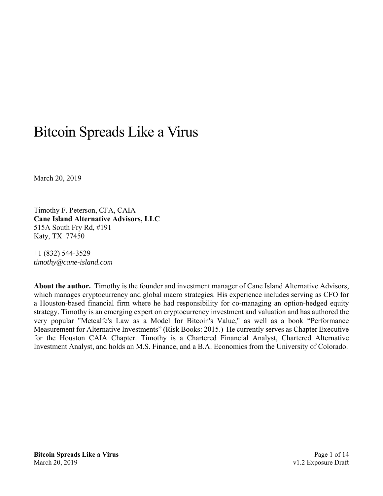# Bitcoin Spreads Like a Virus

March 20, 2019

Timothy F. Peterson, CFA, CAIA **Cane Island Alternative Advisors, LLC**  515A South Fry Rd, #191 Katy, TX 77450

+1 (832) 544-3529 *timothy@cane-island.com* 

**About the author.** Timothy is the founder and investment manager of Cane Island Alternative Advisors, which manages cryptocurrency and global macro strategies. His experience includes serving as CFO for a Houston-based financial firm where he had responsibility for co-managing an option-hedged equity strategy. Timothy is an emerging expert on cryptocurrency investment and valuation and has authored the very popular "Metcalfe's Law as a Model for Bitcoin's Value," as well as a book "Performance Measurement for Alternative Investments" (Risk Books: 2015.) He currently serves as Chapter Executive for the Houston CAIA Chapter. Timothy is a Chartered Financial Analyst, Chartered Alternative Investment Analyst, and holds an M.S. Finance, and a B.A. Economics from the University of Colorado.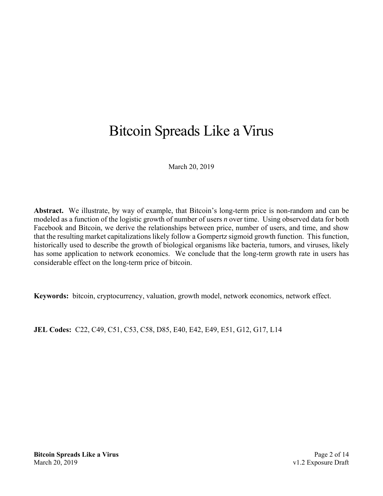# Bitcoin Spreads Like a Virus

March 20, 2019

**Abstract.** We illustrate, by way of example, that Bitcoin's long-term price is non-random and can be modeled as a function of the logistic growth of number of users *n* over time. Using observed data for both Facebook and Bitcoin, we derive the relationships between price, number of users, and time, and show that the resulting market capitalizations likely follow a Gompertz sigmoid growth function. This function, historically used to describe the growth of biological organisms like bacteria, tumors, and viruses, likely has some application to network economics. We conclude that the long-term growth rate in users has considerable effect on the long-term price of bitcoin.

**Keywords:** bitcoin, cryptocurrency, valuation, growth model, network economics, network effect.

**JEL Codes:** C22, C49, C51, C53, C58, D85, E40, E42, E49, E51, G12, G17, L14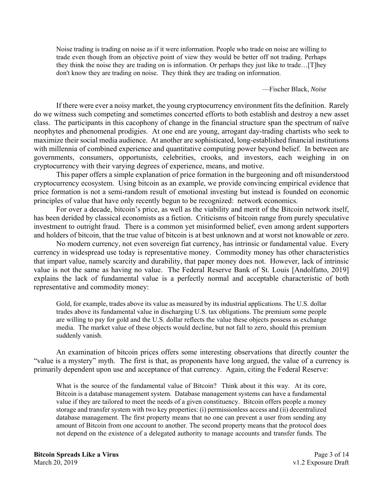Noise trading is trading on noise as if it were information. People who trade on noise are willing to trade even though from an objective point of view they would be better off not trading. Perhaps they think the noise they are trading on is information. Or perhaps they just like to trade…[T]hey don't know they are trading on noise. They think they are trading on information.

—Fischer Black, *Noise*

If there were ever a noisy market, the young cryptocurrency environment fits the definition. Rarely do we witness such competing and sometimes concerted efforts to both establish and destroy a new asset class. The participants in this cacophony of change in the financial structure span the spectrum of naïve neophytes and phenomenal prodigies. At one end are young, arrogant day-trading chartists who seek to maximize their social media audience. At another are sophisticated, long-established financial institutions with millennia of combined experience and quantitative computing power beyond belief. In between are governments, consumers, opportunists, celebrities, crooks, and investors, each weighing in on cryptocurrency with their varying degrees of experience, means, and motive.

This paper offers a simple explanation of price formation in the burgeoning and oft misunderstood cryptocurrency ecosystem. Using bitcoin as an example, we provide convincing empirical evidence that price formation is not a semi-random result of emotional investing but instead is founded on economic principles of value that have only recently begun to be recognized: network economics.

For over a decade, bitcoin's price, as well as the viability and merit of the Bitcoin network itself, has been derided by classical economists as a fiction. Criticisms of bitcoin range from purely speculative investment to outright fraud. There is a common yet misinformed belief, even among ardent supporters and holders of bitcoin, that the true value of bitcoin is at best unknown and at worst not knowable or zero.

No modern currency, not even sovereign fiat currency, has intrinsic or fundamental value. Every currency in widespread use today is representative money. Commodity money has other characteristics that impart value, namely scarcity and durability, that paper money does not. However, lack of intrinsic value is not the same as having no value. The Federal Reserve Bank of St. Louis [Andolfatto, 2019] explains the lack of fundamental value is a perfectly normal and acceptable characteristic of both representative and commodity money:

Gold, for example, trades above its value as measured by its industrial applications. The U.S. dollar trades above its fundamental value in discharging U.S. tax obligations. The premium some people are willing to pay for gold and the U.S. dollar reflects the value these objects possess as exchange media. The market value of these objects would decline, but not fall to zero, should this premium suddenly vanish.

An examination of bitcoin prices offers some interesting observations that directly counter the "value is a mystery" myth. The first is that, as proponents have long argued, the value of a currency is primarily dependent upon use and acceptance of that currency. Again, citing the Federal Reserve:

What is the source of the fundamental value of Bitcoin? Think about it this way. At its core, Bitcoin is a database management system. Database management systems can have a fundamental value if they are tailored to meet the needs of a given constituency. Bitcoin offers people a money storage and transfer system with two key properties: (i) permissionless access and (ii) decentralized database management. The first property means that no one can prevent a user from sending any amount of Bitcoin from one account to another. The second property means that the protocol does not depend on the existence of a delegated authority to manage accounts and transfer funds. The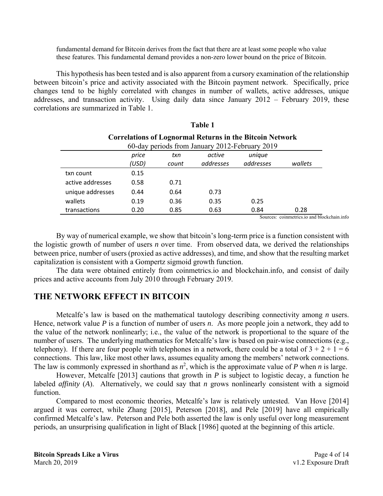fundamental demand for Bitcoin derives from the fact that there are at least some people who value these features. This fundamental demand provides a non-zero lower bound on the price of Bitcoin.

This hypothesis has been tested and is also apparent from a cursory examination of the relationship between bitcoin's price and activity associated with the Bitcoin payment network. Specifically, price changes tend to be highly correlated with changes in number of wallets, active addresses, unique addresses, and transaction activity. Using daily data since January 2012 – February 2019, these correlations are summarized in Table 1.

| таріе т          |                |              |                                                |                                                                 |                                  |  |  |  |  |  |  |
|------------------|----------------|--------------|------------------------------------------------|-----------------------------------------------------------------|----------------------------------|--|--|--|--|--|--|
|                  |                |              | 60-day periods from January 2012-February 2019 | <b>Correlations of Lognormal Returns in the Bitcoin Network</b> |                                  |  |  |  |  |  |  |
|                  | price<br>(USD) | txn<br>count | active<br>addresses                            | unique<br>addresses                                             | wallets                          |  |  |  |  |  |  |
| txn count        | 0.15           |              |                                                |                                                                 |                                  |  |  |  |  |  |  |
| active addresses | 0.58           | 0.71         |                                                |                                                                 |                                  |  |  |  |  |  |  |
| unique addresses | 0.44           | 0.64         | 0.73                                           |                                                                 |                                  |  |  |  |  |  |  |
| wallets          | 0.19           | 0.36         | 0.35                                           | 0.25                                                            |                                  |  |  |  |  |  |  |
| transactions     | 0.20           | 0.85         | 0.63                                           | 0.84                                                            | 0.28                             |  |  |  |  |  |  |
|                  |                |              |                                                |                                                                 | Courses commetings in and blacks |  |  |  |  |  |  |

**Table 1** 

Sources: coinmetrics.io and blockchain.info

By way of numerical example, we show that bitcoin's long-term price is a function consistent with the logistic growth of number of users *n* over time. From observed data, we derived the relationships between price, number of users (proxied as active addresses), and time, and show that the resulting market capitalization is consistent with a Gompertz sigmoid growth function.

The data were obtained entirely from coinmetrics.io and blockchain.info, and consist of daily prices and active accounts from July 2010 through February 2019.

### **THE NETWORK EFFECT IN BITCOIN**

Metcalfe's law is based on the mathematical tautology describing connectivity among *n* users. Hence, network value *P* is a function of number of users *n*. As more people join a network, they add to the value of the network nonlinearly; i.e., the value of the network is proportional to the square of the number of users. The underlying mathematics for Metcalfe's law is based on pair-wise connections (e.g., telephony). If there are four people with telephones in a network, there could be a total of  $3 + 2 + 1 = 6$ connections. This law, like most other laws, assumes equality among the members' network connections. The law is commonly expressed in shorthand as  $n^2$ , which is the approximate value of *P* when *n* is large.

However, Metcalfe [2013] cautions that growth in *P* is subject to logistic decay, a function he labeled *affinity* (A). Alternatively, we could say that *n* grows nonlinearly consistent with a sigmoid function.

Compared to most economic theories, Metcalfe's law is relatively untested. Van Hove [2014] argued it was correct, while Zhang [2015], Peterson [2018], and Pele [2019] have all empirically confirmed Metcalfe's law. Peterson and Pele both asserted the law is only useful over long measurement periods, an unsurprising qualification in light of Black [1986] quoted at the beginning of this article.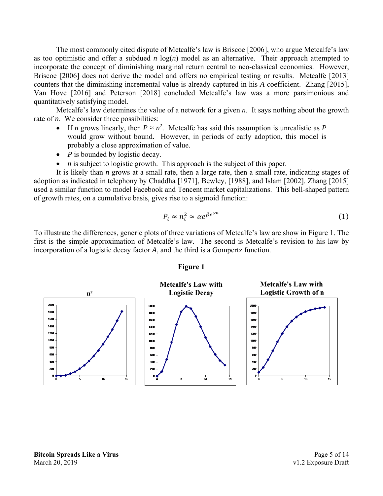The most commonly cited dispute of Metcalfe's law is Briscoe [2006], who argue Metcalfe's law as too optimistic and offer a subdued *n* log(*n*) model as an alternative. Their approach attempted to incorporate the concept of diminishing marginal return central to neo-classical economics. However, Briscoe [2006] does not derive the model and offers no empirical testing or results. Metcalfe [2013] counters that the diminishing incremental value is already captured in his *A* coefficient. Zhang [2015], Van Hove [2016] and Peterson [2018] concluded Metcalfe's law was a more parsimonious and quantitatively satisfying model.

Metcalfe's law determines the value of a network for a given *n*. It says nothing about the growth rate of *n*. We consider three possibilities:

- If *n* grows linearly, then  $P \approx n^2$ . Metcalfe has said this assumption is unrealistic as P would grow without bound. However, in periods of early adoption, this model is probably a close approximation of value.
- *P* is bounded by logistic decay.
- *n* is subject to logistic growth. This approach is the subject of this paper.

It is likely than *n* grows at a small rate, then a large rate, then a small rate, indicating stages of adoption as indicated in telephony by Chaddha [1971], Bewley, [1988], and Islam [2002]. Zhang [2015] used a similar function to model Facebook and Tencent market capitalizations. This bell-shaped pattern of growth rates, on a cumulative basis, gives rise to a sigmoid function:

$$
P_t \approx n_t^2 \approx \alpha e^{\beta e^{\gamma n}} \tag{1}
$$

To illustrate the differences, generic plots of three variations of Metcalfe's law are show in Figure 1. The first is the simple approximation of Metcalfe's law. The second is Metcalfe's revision to his law by incorporation of a logistic decay factor *A*, and the third is a Gompertz function.



#### **Figure 1**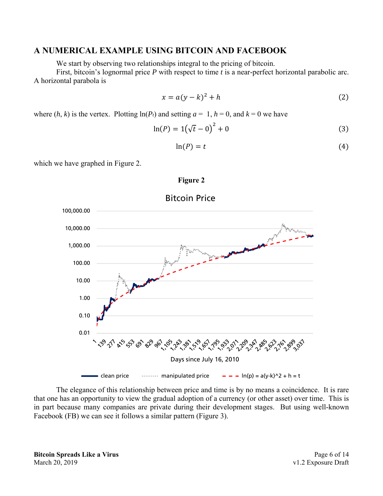#### **A NUMERICAL EXAMPLE USING BITCOIN AND FACEBOOK**

We start by observing two relationships integral to the pricing of bitcoin.

First, bitcoin's lognormal price *P* with respect to time *t* is a near-perfect horizontal parabolic arc. A horizontal parabola is

$$
x = a(y - k)^2 + h \tag{2}
$$

where  $(h, k)$  is the vertex. Plotting  $ln(P_t)$  and setting  $a = 1, h = 0$ , and  $k = 0$  we have

$$
\ln(P) = 1(\sqrt{t} - 0)^2 + 0 \tag{3}
$$

$$
\ln(P) = t \tag{4}
$$

which we have graphed in Figure 2.



## **Figure 2**

The elegance of this relationship between price and time is by no means a coincidence. It is rare that one has an opportunity to view the gradual adoption of a currency (or other asset) over time. This is in part because many companies are private during their development stages. But using well-known Facebook (FB) we can see it follows a similar pattern (Figure 3).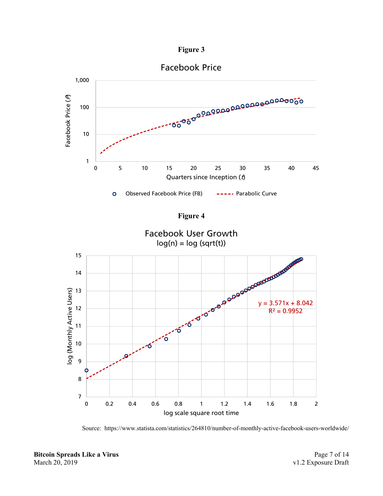



**Figure 4** 



Source: https://www.statista.com/statistics/264810/number-of-monthly-active-facebook-users-worldwide/

**Bitcoin Spreads Like a Virus** Page 7 of 14<br>March 20, 2019 v1.2 Exposure Draft

v1.2 Exposure Draft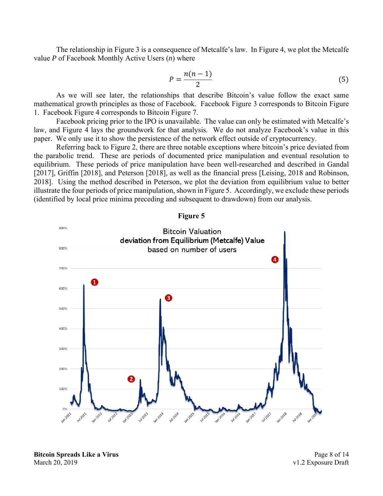The relationship in Figure 3 is a consequence of Metcalfe's law. In Figure 4, we plot the Metcalfe value *P* of Facebook Monthly Active Users (*n*) where

$$
P = \frac{n(n-1)}{2} \tag{5}
$$

As we will see later, the relationships that describe Bitcoin's value follow the exact same mathematical growth principles as those of Facebook. Facebook Figure 3 corresponds to Bitcoin Figure 1. Facebook Figure 4 corresponds to Bitcoin Figure 7.

Facebook pricing prior to the IPO is unavailable. The value can only be estimated with Metcalfe's law, and Figure 4 lays the groundwork for that analysis. We do not analyze Facebook's value in this paper. We only use it to show the persistence of the network effect outside of cryptocurrency.

Referring back to Figure 2, there are three notable exceptions where bitcoin's price deviated from the parabolic trend. These are periods of documented price manipulation and eventual resolution to equilibrium. These periods of price manipulation have been well-researched and described in Gandal [2017], Griffin [2018], and Peterson [2018], as well as the financial press [Leising, 2018 and Robinson, 2018]. Using the method described in Peterson, we plot the deviation from equilibrium value to better illustrate the four periods of price manipulation, shown in Figure 5. Accordingly, we exclude these periods (identified by local price minima preceding and subsequent to drawdown) from our analysis.



**Figure 5** 

**Bitcoin Spreads Like a Virus** Page 8 of 14 March 20, 2019 v1.2 Exposure Draft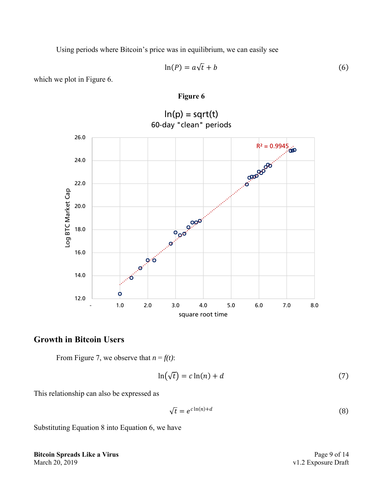Using periods where Bitcoin's price was in equilibrium, we can easily see

$$
\ln(P) = a\sqrt{t} + b \tag{6}
$$

which we plot in Figure 6.



#### **Figure 6**

# **Growth in Bitcoin Users**

From Figure 7, we observe that  $n = f(t)$ :

$$
\ln(\sqrt{t}) = c \ln(n) + d \tag{7}
$$

This relationship can also be expressed as

$$
\sqrt{t} = e^{c \ln(n) + d} \tag{8}
$$

Substituting Equation 8 into Equation 6, we have

**Bitcoin Spreads Like a Virus** Page 9 of 14<br>March 20, 2019 v1.2 Exposure Draft

v1.2 Exposure Draft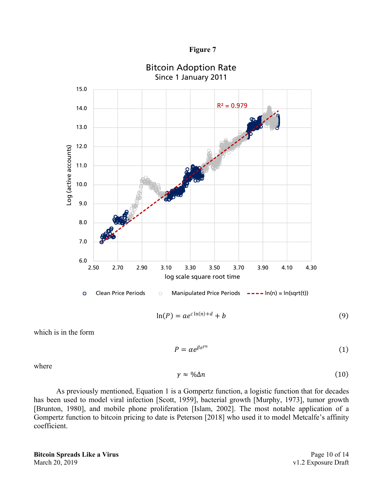**Figure 7** 



which is in the form

$$
P = \alpha e^{\beta e^{\gamma n}} \tag{1}
$$

where

$$
\gamma \approx \% \Delta n \tag{10}
$$

As previously mentioned, Equation 1 is a Gompertz function, a logistic function that for decades has been used to model viral infection [Scott, 1959], bacterial growth [Murphy, 1973], tumor growth [Brunton, 1980], and mobile phone proliferation [Islam, 2002]. The most notable application of a Gompertz function to bitcoin pricing to date is Peterson [2018] who used it to model Metcalfe's affinity coefficient.

**Bitcoin Spreads Like a Virus** Page 10 of 14 March 20, 2019 v1.2 Exposure Draft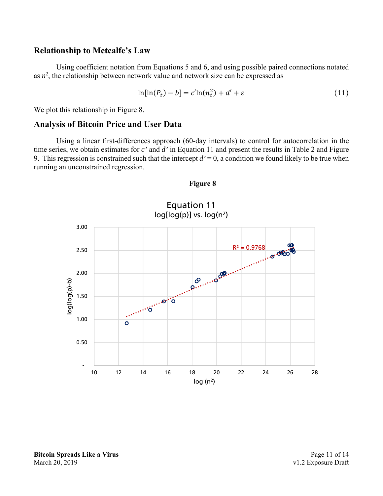### **Relationship to Metcalfe's Law**

Using coefficient notation from Equations 5 and 6, and using possible paired connections notated as  $n^2$ , the relationship between network value and network size can be expressed as

$$
\ln[\ln(P_t) - b] = c'\ln(n_t^2) + d' + \varepsilon \tag{11}
$$

We plot this relationship in Figure 8.

#### **Analysis of Bitcoin Price and User Data**

Using a linear first-differences approach (60-day intervals) to control for autocorrelation in the time series, we obtain estimates for *c'* and *d'* in Equation 11 and present the results in Table 2 and Figure 9. This regression is constrained such that the intercept  $d' = 0$ , a condition we found likely to be true when running an unconstrained regression.



**Figure 8**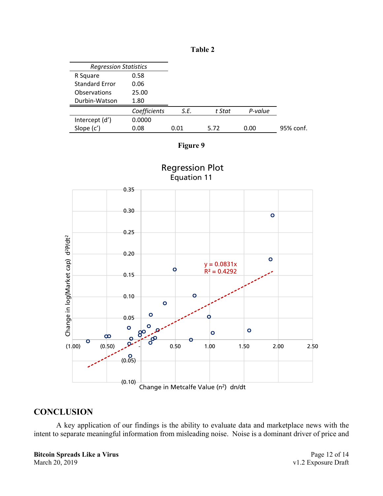| <b>Regression Statistics</b> |              |      |        |         |           |
|------------------------------|--------------|------|--------|---------|-----------|
| R Square                     | 0.58         |      |        |         |           |
| <b>Standard Error</b>        | 0.06         |      |        |         |           |
| Observations                 | 25.00        |      |        |         |           |
| Durbin-Watson                | 1.80         |      |        |         |           |
|                              | Coefficients | S.E. | t Stat | P-value |           |
| Intercept (d')               | 0.0000       |      |        |         |           |
| Slope (c')                   | 0.08         | 0.01 | 5.72   | 0.00    | 95% conf. |

**Table 2** 



Regression Plot Equation 11



# **CONCLUSION**

A key application of our findings is the ability to evaluate data and marketplace news with the intent to separate meaningful information from misleading noise. Noise is a dominant driver of price and

**Bitcoin Spreads Like a Virus** Page 12 of 14<br>March 20, 2019 v1.2 Exposure Draft

v1.2 Exposure Draft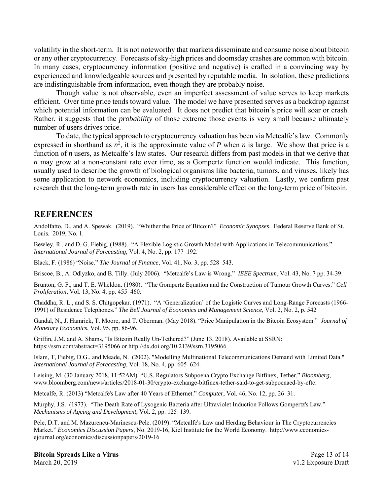volatility in the short-term. It is not noteworthy that markets disseminate and consume noise about bitcoin or any other cryptocurrency. Forecasts of sky-high prices and doomsday crashes are common with bitcoin. In many cases, cryptocurrency information (positive and negative) is crafted in a convincing way by experienced and knowledgeable sources and presented by reputable media. In isolation, these predictions are indistinguishable from information, even though they are probably noise.

Though value is not observable, even an imperfect assessment of value serves to keep markets efficient. Over time price tends toward value. The model we have presented serves as a backdrop against which potential information can be evaluated. It does not predict that bitcoin's price will soar or crash. Rather, it suggests that the *probability* of those extreme those events is very small because ultimately number of users drives price.

To date, the typical approach to cryptocurrency valuation has been via Metcalfe's law. Commonly expressed in shorthand as  $n^2$ , it is the approximate value of *P* when *n* is large. We show that price is a function of *n* users, as Metcalfe's law states. Our research differs from past models in that we derive that *n* may grow at a non-constant rate over time, as a Gompertz function would indicate. This function, usually used to describe the growth of biological organisms like bacteria, tumors, and viruses, likely has some application to network economics, including cryptocurrency valuation. Lastly, we confirm past research that the long-term growth rate in users has considerable effect on the long-term price of bitcoin.

#### **REFERENCES**

Andolfatto, D., and A. Spewak. (2019). "Whither the Price of Bitcoin?" *Economic Synopses*. Federal Reserve Bank of St. Louis. 2019, No. 1.

Bewley, R., and D. G. Fiebig. (1988). "A Flexible Logistic Growth Model with Applications in Telecommunications." *International Journal of Forecasting*, Vol. 4, No. 2, pp. 177–192.

Black, F. (1986) "Noise." *The Journal of Finance*, Vol. 41, No. 3, pp. 528–543.

Briscoe, B., A. Odlyzko, and B. Tilly. (July 2006). "Metcalfe's Law is Wrong." *IEEE Spectrum*, Vol. 43, No. 7 pp. 34-39.

Brunton, G. F., and T. E. Wheldon. (1980). "The Gompertz Equation and the Construction of Tumour Growth Curves." *Cell Proliferation*, Vol. 13, No. 4, pp. 455–460.

Chaddha, R. L., and S. S. Chitgopekar. (1971). "A 'Generalization' of the Logistic Curves and Long-Range Forecasts (1966- 1991) of Residence Telephones." *The Bell Journal of Economics and Management Science*, Vol. 2, No. 2, p. 542

Gandal, N., J. Hamrick, T. Moore, and T. Oberman. (May 2018). "Price Manipulation in the Bitcoin Ecosystem." *Journal of Monetary Economics*, Vol. 95, pp. 86-96.

Griffin, J.M. and A. Shams, "Is Bitcoin Really Un-Tethered?" (June 13, 2018). Available at SSRN: https://ssrn.com/abstract=3195066 or http://dx.doi.org/10.2139/ssrn.3195066

Islam, T, Fiebig, D.G., and Meade, N. (2002). "Modelling Multinational Telecommunications Demand with Limited Data." *International Journal of Forecasting*, Vol. 18, No. 4, pp. 605–624.

Leising, M. (30 January 2018, 11:52AM). "U.S. Regulators Subpoena Crypto Exchange Bitfinex, Tether." *Bloomberg*, www.bloomberg.com/news/articles/2018-01-30/crypto-exchange-bitfinex-tether-said-to-get-subpoenaed-by-cftc.

Metcalfe, R. (2013) "Metcalfe's Law after 40 Years of Ethernet." *Computer*, Vol. 46, No. 12, pp. 26–31.

Murphy, J.S. (1973). "The Death Rate of Lysogenic Bacteria after Ultraviolet Induction Follows Gompertz's Law." *Mechanisms of Ageing and Development*, Vol. 2, pp. 125–139.

Pele, D.T. and M. Mazurencu-Marinescu-Pele. (2019). "Metcalfe's Law and Herding Behaviour in The Cryptocurrencies Market." *Economics Discussion Papers*, No. 2019-16, Kiel Institute for the World Economy. http://www.economicsejournal.org/economics/discussionpapers/2019-16